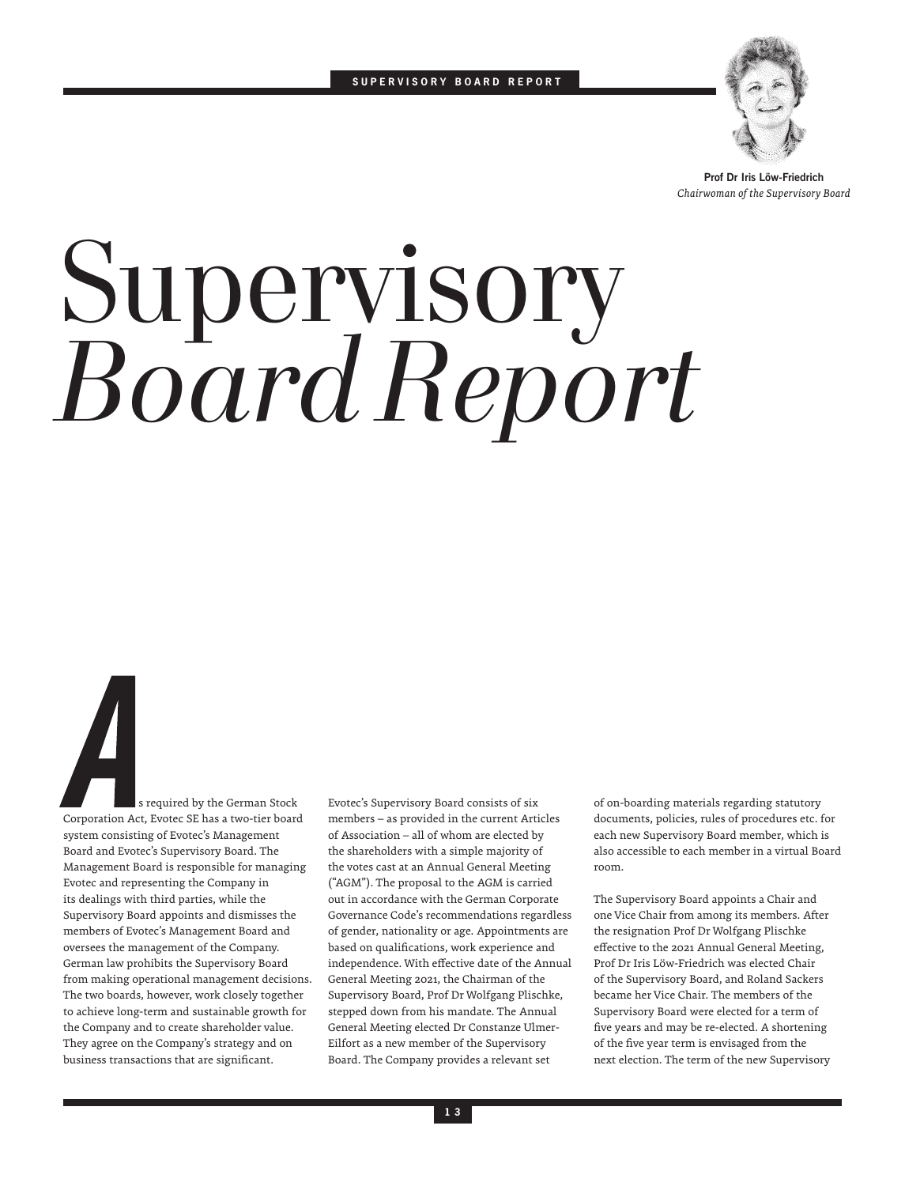

**Prof Dr Iris Löw-Friedrich** *Chairwoman of the Supervisory Board*

## Supervisory *Board Report*

 s required by the German Stock Corporation Act, Evotec SE has a two-tier board system consisting of Evotec's Management Board and Evotec's Supervisory Board. The Management Board is responsible for managing Evotec and representing the Company in its dealings with third parties, while the Supervisory Board appoints and dismisses the members of Evotec's Management Board and oversees the management of the Company. German law prohibits the Supervisory Board from making operational management decisions. The two boards, however, work closely together to achieve long-term and sustainable growth for the Company and to create shareholder value. They agree on the Company's strategy and on business transactions that are significant.

Evotec's Supervisory Board consists of six members – as provided in the current Articles of Association – all of whom are elected by the shareholders with a simple majority of the votes cast at an Annual General Meeting ("AGM"). The proposal to the AGM is carried out in accordance with the German Corporate Governance Code's recommendations regardless of gender, nationality or age. Appointments are based on qualifications, work experience and independence. With effective date of the Annual General Meeting 2021, the Chairman of the Supervisory Board, Prof Dr Wolfgang Plischke, stepped down from his mandate. The Annual General Meeting elected Dr Constanze Ulmer-Eilfort as a new member of the Supervisory Board. The Company provides a relevant set

of on-boarding materials regarding statutory documents, policies, rules of procedures etc. for each new Supervisory Board member, which is also accessible to each member in a virtual Board room.

The Supervisory Board appoints a Chair and one Vice Chair from among its members. After the resignation Prof Dr Wolfgang Plischke effective to the 2021 Annual General Meeting, Prof Dr Iris Löw-Friedrich was elected Chair of the Supervisory Board, and Roland Sackers became her Vice Chair. The members of the Supervisory Board were elected for a term of five years and may be re-elected. A shortening of the five year term is envisaged from the next election. The term of the new Supervisory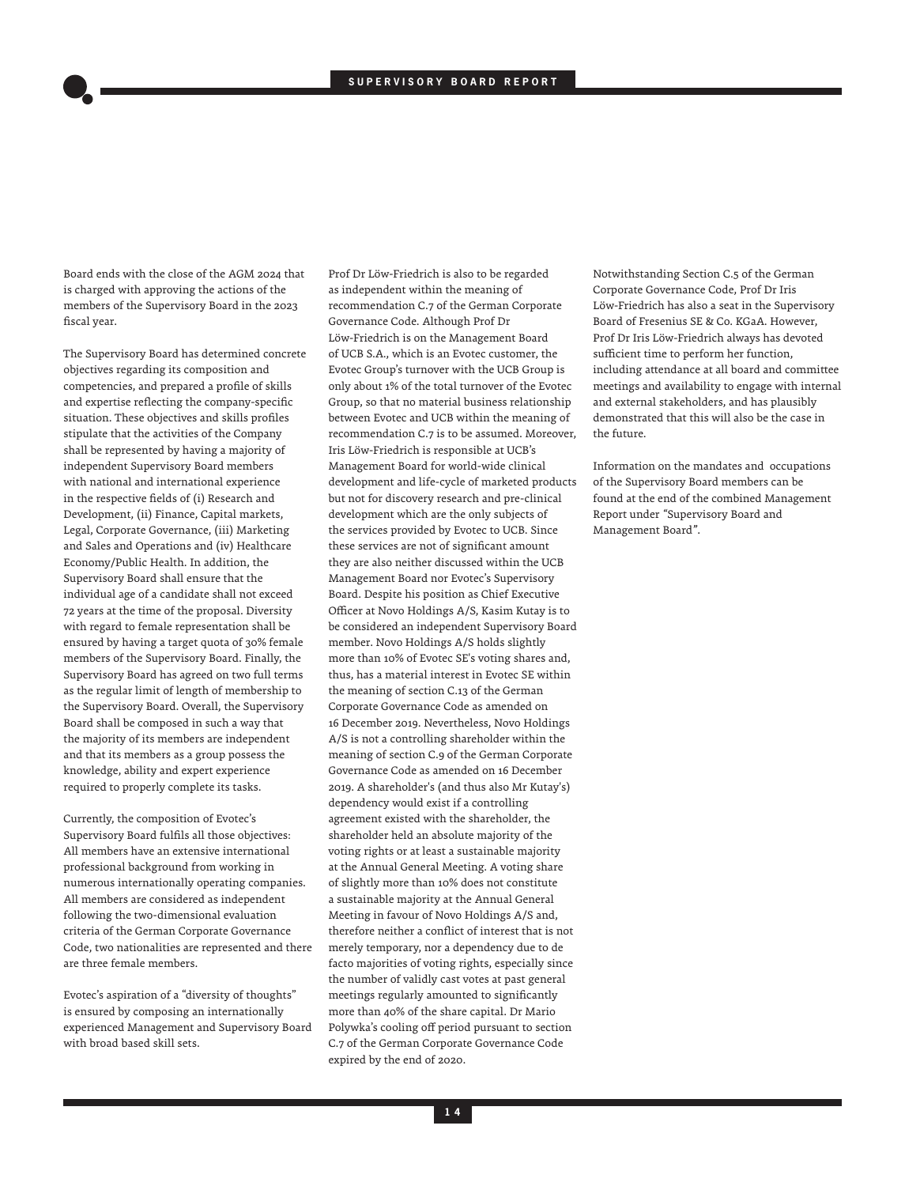Board ends with the close of the AGM 2024 that is charged with approving the actions of the members of the Supervisory Board in the 2023 fiscal year.

The Supervisory Board has determined concrete objectives regarding its composition and competencies, and prepared a profile of skills and expertise reflecting the company-specific situation. These objectives and skills profiles stipulate that the activities of the Company shall be represented by having a majority of independent Supervisory Board members with national and international experience in the respective fields of (i) Research and Development, (ii) Finance, Capital markets, Legal, Corporate Governance, (iii) Marketing and Sales and Operations and (iv) Healthcare Economy/Public Health. In addition, the Supervisory Board shall ensure that the individual age of a candidate shall not exceed 72 years at the time of the proposal. Diversity with regard to female representation shall be ensured by having a target quota of 30% female members of the Supervisory Board. Finally, the Supervisory Board has agreed on two full terms as the regular limit of length of membership to the Supervisory Board. Overall, the Supervisory Board shall be composed in such a way that the majority of its members are independent and that its members as a group possess the knowledge, ability and expert experience required to properly complete its tasks.

Currently, the composition of Evotec's Supervisory Board fulfils all those objectives: All members have an extensive international professional background from working in numerous internationally operating companies. All members are considered as independent following the two-dimensional evaluation criteria of the German Corporate Governance Code, two nationalities are represented and there are three female members.

Evotec's aspiration of a "diversity of thoughts" is ensured by composing an internationally experienced Management and Supervisory Board with broad based skill sets.

Prof Dr Löw-Friedrich is also to be regarded as independent within the meaning of recommendation C.7 of the German Corporate Governance Code. Although Prof Dr Löw-Friedrich is on the Management Board of UCB S.A., which is an Evotec customer, the Evotec Group's turnover with the UCB Group is only about 1% of the total turnover of the Evotec Group, so that no material business relationship between Evotec and UCB within the meaning of recommendation C.7 is to be assumed. Moreover, Iris Löw-Friedrich is responsible at UCB's Management Board for world-wide clinical development and life-cycle of marketed products but not for discovery research and pre-clinical development which are the only subjects of the services provided by Evotec to UCB. Since these services are not of significant amount they are also neither discussed within the UCB Management Board nor Evotec's Supervisory Board. Despite his position as Chief Executive Officer at Novo Holdings A/S, Kasim Kutay is to be considered an independent Supervisory Board member. Novo Holdings A/S holds slightly more than 10% of Evotec SE's voting shares and, thus, has a material interest in Evotec SE within the meaning of section C.13 of the German Corporate Governance Code as amended on 16 December 2019. Nevertheless, Novo Holdings A/S is not a controlling shareholder within the meaning of section C.9 of the German Corporate Governance Code as amended on 16 December 2019. A shareholder's (and thus also Mr Kutay's) dependency would exist if a controlling agreement existed with the shareholder, the shareholder held an absolute majority of the voting rights or at least a sustainable majority at the Annual General Meeting. A voting share of slightly more than 10% does not constitute a sustainable majority at the Annual General Meeting in favour of Novo Holdings A/S and, therefore neither a conflict of interest that is not merely temporary, nor a dependency due to de facto majorities of voting rights, especially since the number of validly cast votes at past general meetings regularly amounted to significantly more than 40% of the share capital. Dr Mario Polywka's cooling off period pursuant to section C.7 of the German Corporate Governance Code expired by the end of 2020.

Notwithstanding Section C.5 of the German Corporate Governance Code, Prof Dr Iris Löw-Friedrich has also a seat in the Supervisory Board of Fresenius SE & Co. KGaA. However, Prof Dr Iris Löw-Friedrich always has devoted sufficient time to perform her function, including attendance at all board and committee meetings and availability to engage with internal and external stakeholders, and has plausibly demonstrated that this will also be the case in the future.

Information on the mandates and occupations of the Supervisory Board members can be found at the end of the combined Management Report under *"*Supervisory Board and Management Board*"*.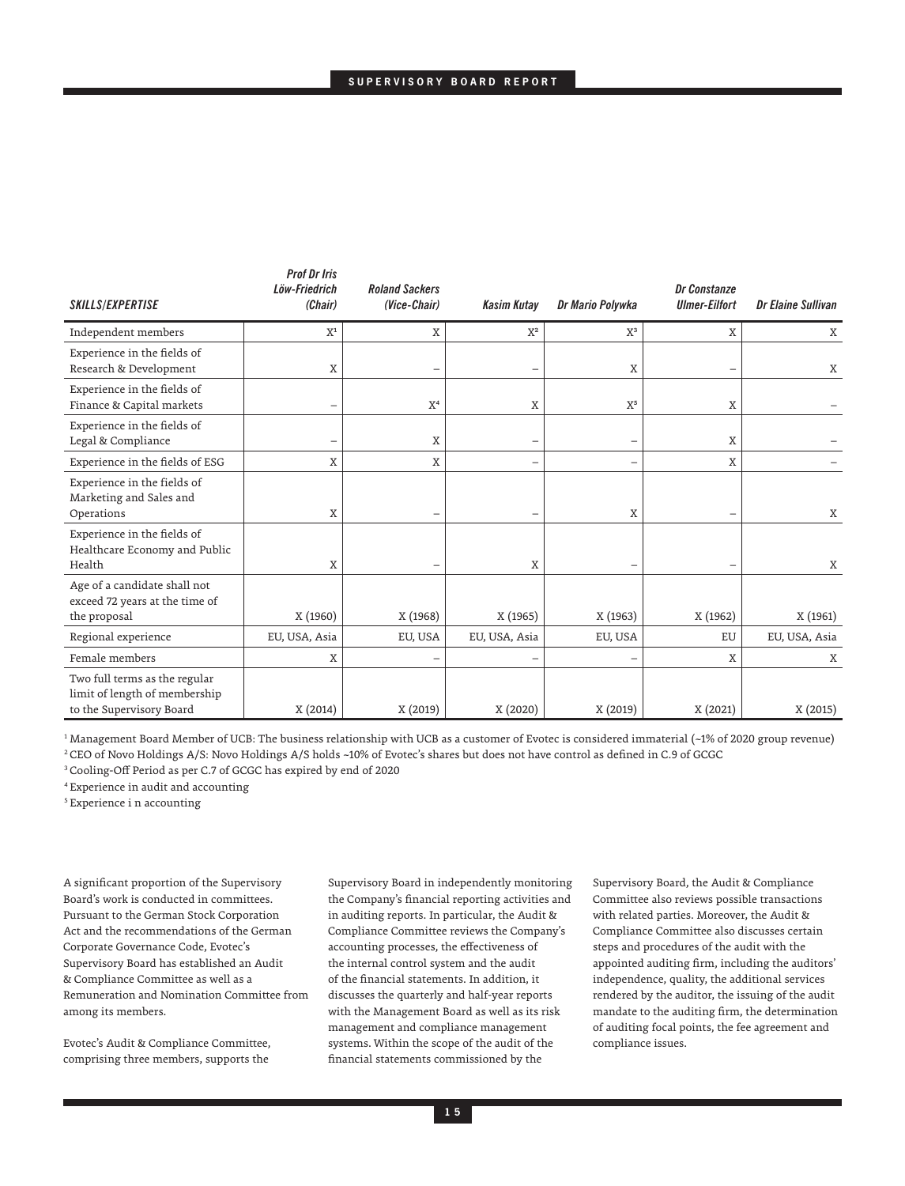| SKILLS/EXPERTISE                                                                           | <i>FIVI VI III</i> S<br>Löw-Friedrich<br>(Chair) | <b>Roland Sackers</b><br>(Vice-Chair) | <b>Kasim Kutay</b> | Dr Mario Polywka | Dr Constanze<br><b>Ulmer-Eilfort</b> | Dr Elaine Sullivan |
|--------------------------------------------------------------------------------------------|--------------------------------------------------|---------------------------------------|--------------------|------------------|--------------------------------------|--------------------|
| Independent members                                                                        | $X^1$                                            | X                                     | $X^2$              | $X^3$            | Χ                                    | X                  |
| Experience in the fields of<br>Research & Development                                      | X                                                |                                       | -                  | X                | -                                    | X                  |
| Experience in the fields of<br>Finance & Capital markets                                   | $\overline{\phantom{0}}$                         | X <sup>4</sup>                        | X                  | $X^5$            | X                                    |                    |
| Experience in the fields of<br>Legal & Compliance                                          | -                                                | X                                     | -                  | -                | $\mathbf X$                          |                    |
| Experience in the fields of ESG                                                            | X                                                | X                                     | -                  | -                | X                                    |                    |
| Experience in the fields of<br>Marketing and Sales and<br>Operations                       | X                                                |                                       |                    | X                | -                                    | X                  |
| Experience in the fields of<br>Healthcare Economy and Public<br>Health                     | X                                                |                                       | X                  |                  |                                      | Χ                  |
| Age of a candidate shall not<br>exceed 72 years at the time of<br>the proposal             | X (1960)                                         | X (1968)                              | X (1965)           | X (1963)         | X (1962)                             | X (1961)           |
| Regional experience                                                                        | EU, USA, Asia                                    | EU, USA                               | EU, USA, Asia      | EU, USA          | EU                                   | EU, USA, Asia      |
| Female members                                                                             | X                                                |                                       | -                  |                  | X                                    | Χ                  |
| Two full terms as the regular<br>limit of length of membership<br>to the Supervisory Board | X (2014)                                         | X (2019)                              | X (2020)           | X (2019)         | X (2021)                             | X (2015)           |

<sup>1</sup> Management Board Member of UCB: The business relationship with UCB as a customer of Evotec is considered immaterial (~1% of 2020 group revenue)

<sup>2</sup>CEO of Novo Holdings A/S: Novo Holdings A/S holds ~10% of Evotec's shares but does not have control as defined in C.9 of GCGC

*Prof Dr Iris* 

<sup>3</sup>Cooling-Off Period as per C.7 of GCGC has expired by end of 2020

<sup>4</sup>Experience in audit and accounting

5 Experience i n accounting

A significant proportion of the Supervisory Board's work is conducted in committees. Pursuant to the German Stock Corporation Act and the recommendations of the German Corporate Governance Code, Evotec's Supervisory Board has established an Audit & Compliance Committee as well as a Remuneration and Nomination Committee from among its members.

Evotec's Audit & Compliance Committee, comprising three members, supports the

Supervisory Board in independently monitoring the Company's financial reporting activities and in auditing reports. In particular, the Audit & Compliance Committee reviews the Company's accounting processes, the effectiveness of the internal control system and the audit of the financial statements. In addition, it discusses the quarterly and half-year reports with the Management Board as well as its risk management and compliance management systems. Within the scope of the audit of the financial statements commissioned by the

Supervisory Board, the Audit & Compliance Committee also reviews possible transactions with related parties. Moreover, the Audit & Compliance Committee also discusses certain steps and procedures of the audit with the appointed auditing firm, including the auditors' independence, quality, the additional services rendered by the auditor, the issuing of the audit mandate to the auditing firm, the determination of auditing focal points, the fee agreement and compliance issues.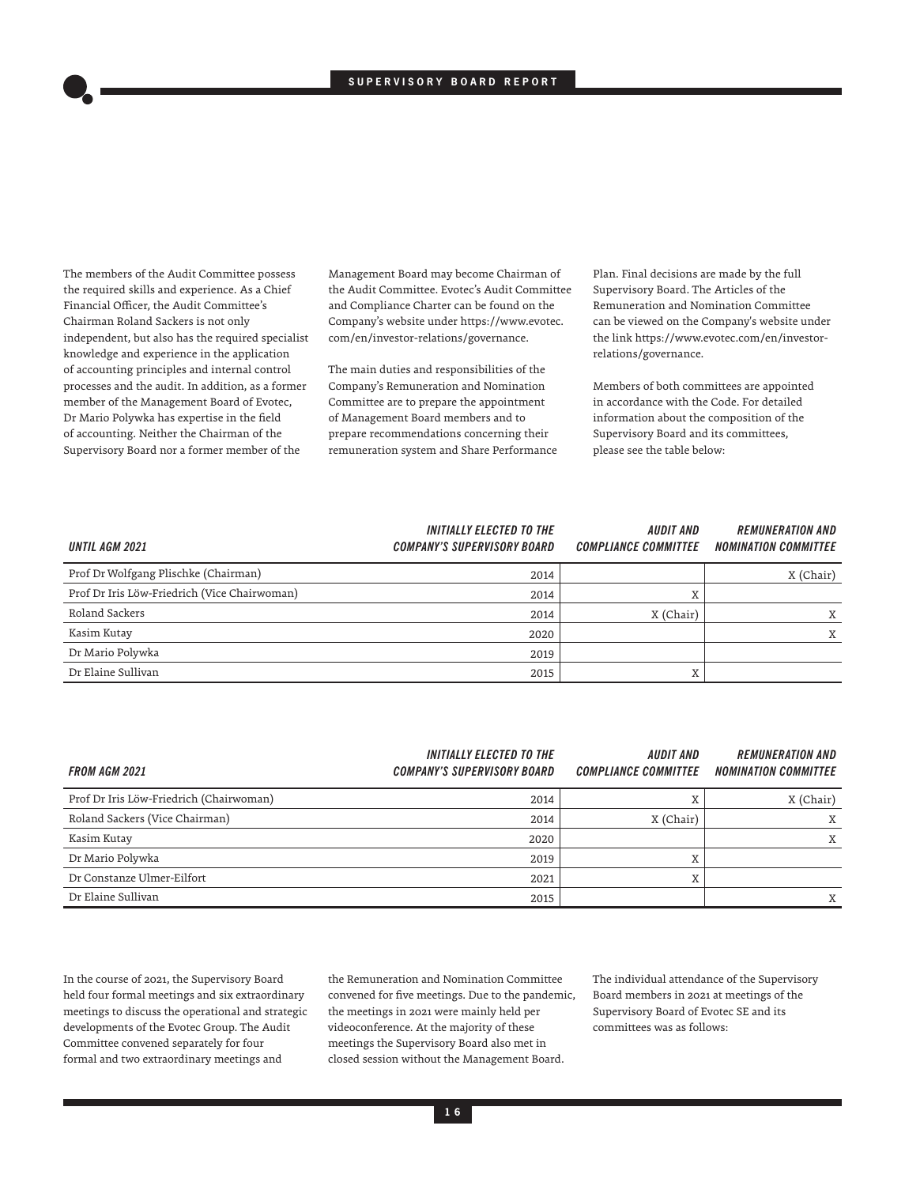The members of the Audit Committee possess the required skills and experience. As a Chief Financial Officer, the Audit Committee's Chairman Roland Sackers is not only independent, but also has the required specialist knowledge and experience in the application of accounting principles and internal control processes and the audit. In addition, as a former member of the Management Board of Evotec, Dr Mario Polywka has expertise in the field of accounting. Neither the Chairman of the Supervisory Board nor a former member of the

Management Board may become Chairman of the Audit Committee. Evotec's Audit Committee and Compliance Charter can be found on the Company's website under https://www.evotec. com/en/investor-relations/governance.

The main duties and responsibilities of the Company's Remuneration and Nomination Committee are to prepare the appointment of Management Board members and to prepare recommendations concerning their remuneration system and Share Performance Plan. Final decisions are made by the full Supervisory Board. The Articles of the Remuneration and Nomination Committee can be viewed on the Company's website under the link https://www.evotec.com/en/investorrelations/governance.

Members of both committees are appointed in accordance with the Code. For detailed information about the composition of the Supervisory Board and its committees, please see the table below:

| <b>UNTIL AGM 2021</b>                        | <b>INITIALLY ELECTED TO THE</b><br><b>COMPANY'S SUPERVISORY BOARD</b> | <i><b>AUDIT AND</b></i><br><b>COMPLIANCE COMMITTEE</b> | <b>REMUNERATION AND</b><br><b>NOMINATION COMMITTEE</b> |
|----------------------------------------------|-----------------------------------------------------------------------|--------------------------------------------------------|--------------------------------------------------------|
| Prof Dr Wolfgang Plischke (Chairman)         | 2014                                                                  |                                                        | X (Chair)                                              |
| Prof Dr Iris Löw-Friedrich (Vice Chairwoman) | 2014                                                                  | X                                                      |                                                        |
| Roland Sackers                               | 2014                                                                  | X (Chair)                                              | X                                                      |
| Kasim Kutay                                  | 2020                                                                  |                                                        | X                                                      |
| Dr Mario Polywka                             | 2019                                                                  |                                                        |                                                        |
| Dr Elaine Sullivan                           | 2015                                                                  | X                                                      |                                                        |

| <b>FROM AGM 2021</b>                    | <b>INITIALLY ELECTED TO THE</b><br>COMPANY'S SUPERVISORY BOARD | <b>AUDIT AND</b><br><b>COMPLIANCE COMMITTEE</b> | <b>REMUNERATION AND</b><br><b>NOMINATION COMMITTEE</b> |
|-----------------------------------------|----------------------------------------------------------------|-------------------------------------------------|--------------------------------------------------------|
| Prof Dr Iris Löw-Friedrich (Chairwoman) | 2014                                                           |                                                 | X (Chair)                                              |
| Roland Sackers (Vice Chairman)          | 2014                                                           | X (Chair)                                       | Χ                                                      |
| Kasim Kutay                             | 2020                                                           |                                                 | X                                                      |
| Dr Mario Polywka                        | 2019                                                           | T                                               |                                                        |
| Dr Constanze Ulmer-Eilfort              | 2021                                                           | $\overline{v}$                                  |                                                        |
| Dr Elaine Sullivan                      | 2015                                                           |                                                 | X                                                      |

In the course of 2021, the Supervisory Board held four formal meetings and six extraordinary meetings to discuss the operational and strategic developments of the Evotec Group. The Audit Committee convened separately for four formal and two extraordinary meetings and

the Remuneration and Nomination Committee convened for five meetings. Due to the pandemic, the meetings in 2021 were mainly held per videoconference. At the majority of these meetings the Supervisory Board also met in closed session without the Management Board.

The individual attendance of the Supervisory Board members in 2021 at meetings of the Supervisory Board of Evotec SE and its committees was as follows: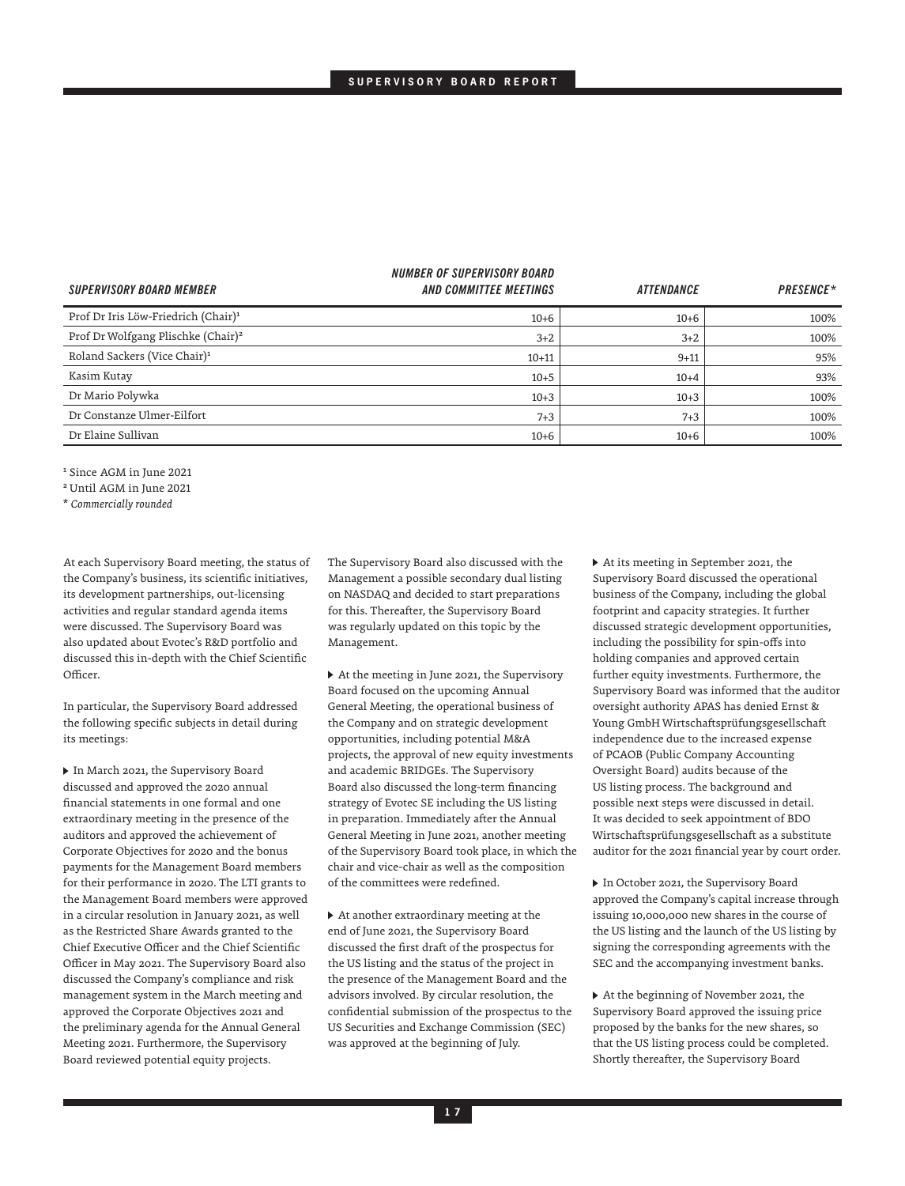| <b>SUPERVISORY BOARD MEMBER</b>                 | <i><b>NUMBER OF SUPERVISORY BOARD</b></i><br>AND COMMITTEE MEETINGS | <b>ATTENDANCE</b> | <b>PRESENCE*</b> |
|-------------------------------------------------|---------------------------------------------------------------------|-------------------|------------------|
| Prof Dr Iris Löw-Friedrich (Chair) <sup>1</sup> | $10 + 6$                                                            | $10 + 6$          | 100%             |
| Prof Dr Wolfgang Plischke (Chair) <sup>2</sup>  | $3 + 2$                                                             | $3 + 2$           | 100%             |
| Roland Sackers (Vice Chair) <sup>1</sup>        | $10 + 11$                                                           | $9 + 11$          | 95%              |
| Kasim Kutay                                     | $10 + 5$                                                            | $10 + 4$          | 93%              |
| Dr Mario Polywka                                | $10 + 3$                                                            | $10+3$            | 100%             |
| Dr Constanze Ulmer-Eilfort                      | $7 + 3$                                                             | $7 + 3$           | 100%             |
| Dr Elaine Sullivan                              | $10 + 6$                                                            | $10 + 6$          | 100%             |

1 Since AGM in June 2021

2 Until AGM in June 2021

\* *Commercially rounded*

At each Supervisory Board meeting, the status of the Company's business, its scientific initiatives, its development partnerships, out-licensing activities and regular standard agenda items were discussed. The Supervisory Board was also updated about Evotec's R&D portfolio and discussed this in-depth with the Chief Scientific Officer.

In particular, the Supervisory Board addressed the following specific subjects in detail during its meetings:

 In March 2021, the Supervisory Board discussed and approved the 2020 annual financial statements in one formal and one extraordinary meeting in the presence of the auditors and approved the achievement of Corporate Objectives for 2020 and the bonus payments for the Management Board members for their performance in 2020. The LTI grants to the Management Board members were approved in a circular resolution in January 2021, as well as the Restricted Share Awards granted to the Chief Executive Officer and the Chief Scientific Officer in May 2021. The Supervisory Board also discussed the Company's compliance and risk management system in the March meeting and approved the Corporate Objectives 2021 and the preliminary agenda for the Annual General Meeting 2021. Furthermore, the Supervisory Board reviewed potential equity projects.

The Supervisory Board also discussed with the Management a possible secondary dual listing on NASDAQ and decided to start preparations for this. Thereafter, the Supervisory Board was regularly updated on this topic by the Management.

 At the meeting in June 2021, the Supervisory Board focused on the upcoming Annual General Meeting, the operational business of the Company and on strategic development opportunities, including potential M&A projects, the approval of new equity investments and academic BRIDGEs. The Supervisory Board also discussed the long-term financing strategy of Evotec SE including the US listing in preparation. Immediately after the Annual General Meeting in June 2021, another meeting of the Supervisory Board took place, in which the chair and vice-chair as well as the composition of the committees were redefined.

 At another extraordinary meeting at the end of June 2021, the Supervisory Board discussed the first draft of the prospectus for the US listing and the status of the project in the presence of the Management Board and the advisors involved. By circular resolution, the confidential submission of the prospectus to the US Securities and Exchange Commission (SEC) was approved at the beginning of July.

 At its meeting in September 2021, the Supervisory Board discussed the operational business of the Company, including the global footprint and capacity strategies. It further discussed strategic development opportunities, including the possibility for spin-offs into holding companies and approved certain further equity investments. Furthermore, the Supervisory Board was informed that the auditor oversight authority APAS has denied Ernst & Young GmbH Wirtschaftsprüfungsgesellschaft independence due to the increased expense of PCAOB (Public Company Accounting Oversight Board) audits because of the US listing process. The background and possible next steps were discussed in detail. It was decided to seek appointment of BDO Wirtschaftsprüfungsgesellschaft as a substitute auditor for the 2021 financial year by court order.

 In October 2021, the Supervisory Board approved the Company's capital increase through issuing 10,000,000 new shares in the course of the US listing and the launch of the US listing by signing the corresponding agreements with the SEC and the accompanying investment banks.

 At the beginning of November 2021, the Supervisory Board approved the issuing price proposed by the banks for the new shares, so that the US listing process could be completed. Shortly thereafter, the Supervisory Board